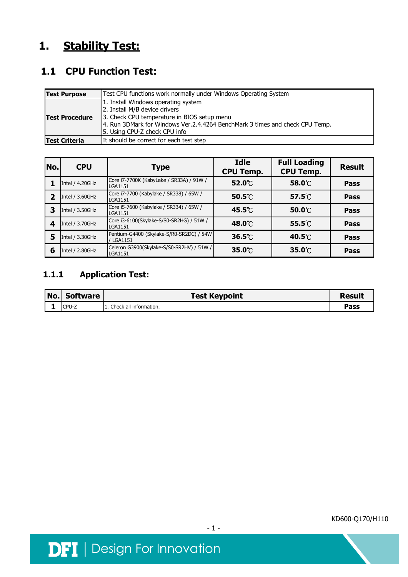# **1. Stability Test:**

## **1.1 CPU Function Test:**

| <b>Test Purpose</b>   | Test CPU functions work normally under Windows Operating System                                                                                                                                                                      |  |  |  |  |  |
|-----------------------|--------------------------------------------------------------------------------------------------------------------------------------------------------------------------------------------------------------------------------------|--|--|--|--|--|
| <b>Test Procedure</b> | 1. Install Windows operating system<br>2. Install M/B device drivers<br>3. Check CPU temperature in BIOS setup menu<br>4. Run 3DMark for Windows Ver.2.4.4264 BenchMark 3 times and check CPU Temp.<br>5. Using CPU-Z check CPU info |  |  |  |  |  |
| <b>Test Criteria</b>  | It should be correct for each test step                                                                                                                                                                                              |  |  |  |  |  |

| No.            | <b>CPU</b>      | <b>Type</b>                                                | <b>Idle</b><br><b>CPU Temp.</b> | <b>Full Loading</b><br><b>CPU Temp.</b> | <b>Result</b> |
|----------------|-----------------|------------------------------------------------------------|---------------------------------|-----------------------------------------|---------------|
|                | Intel / 4.20GHz | Core i7-7700K (KabyLake / SR33A) / 91W /<br>LGA1151        | 52.0℃                           | 58.0℃                                   | <b>Pass</b>   |
| $\overline{2}$ | Intel / 3.60GHz | Core i7-7700 (Kabylake / SR338) / 65W /<br>LGA1151         | $50.5^{\circ}$                  | $57.5^{\circ}$                          | <b>Pass</b>   |
| 3              | Intel / 3.50GHz | Core i5-7600 (Kabylake / SR334) / 65W /<br>LGA1151         | 45.5℃                           | $50.0^\circ\text{C}$                    | <b>Pass</b>   |
| 4              | Intel / 3.70GHz | Core i3-6100(Skylake-S/S0-SR2HG) / 51W /<br><b>LGA1151</b> | 48.0°C                          | $55.5^{\circ}$                          | <b>Pass</b>   |
| 5              | Intel / 3.30GHz | Pentium-G4400 (Skylake-S/R0-SR2DC) / 54W<br>/ LGA1151      | $36.5^{\circ}$                  | 40.5℃                                   | <b>Pass</b>   |
| 6              | Intel / 2.80GHz | Celeron G3900(Skylake-S/S0-SR2HV) / 51W /<br>LGA1151       | 35.0°C                          | $35.0^\circ\text{C}$                    | <b>Pass</b>   |

### **1.1.1 Application Test:**

| No. | Software | <b>Test Keypoint</b>   | Result |
|-----|----------|------------------------|--------|
|     | CPU-Z    | Check all information. | Pass   |

 $-1 -$ 



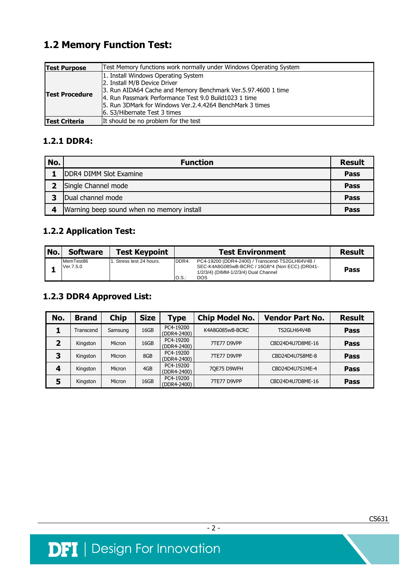# **1.2 Memory Function Test:**

| <b>Test Purpose</b>   | Test Memory functions work normally under Windows Operating System                                                                                                                                                                                                                        |  |  |  |  |
|-----------------------|-------------------------------------------------------------------------------------------------------------------------------------------------------------------------------------------------------------------------------------------------------------------------------------------|--|--|--|--|
| <b>Test Procedure</b> | 1. Install Windows Operating System<br>2. Install M/B Device Driver<br>3. Run AIDA64 Cache and Memory Benchmark Ver.5.97.4600 1 time<br>4. Run Passmark Performance Test 9.0 Build1023 1 time<br>5. Run 3DMark for Windows Ver.2.4.4264 BenchMark 3 times<br>6. S3/Hibernate Test 3 times |  |  |  |  |
| <b>Test Criteria</b>  | It should be no problem for the test                                                                                                                                                                                                                                                      |  |  |  |  |

#### **1.2.1 DDR4:**

| No. | <b>Function</b>                           | <b>Result</b> |
|-----|-------------------------------------------|---------------|
|     | DDR4 DIMM Slot Examine                    | Pass          |
|     | Single Channel mode                       | Pass          |
| 3   | Dual channel mode                         | Pass          |
| 4   | Warning beep sound when no memory install | Pass          |

### **1.2.2 Application Test:**

| No. | <b>Software</b>        | <b>Test Keypoint</b>    |                 | <b>Test Environment</b>                                                                                                                                 | <b>Result</b> |
|-----|------------------------|-------------------------|-----------------|---------------------------------------------------------------------------------------------------------------------------------------------------------|---------------|
|     | MemTest86<br>Ver.7.5.0 | . Stress test 24 hours. | DDR4:<br>IO.S.: | PC4-19200 (DDR4-2400) / Transcend-TS2GLH64V4B /<br>SEC-K4A8G085wB-BCRC / 16GB*4 (Non ECC) (DR041-<br>1/2/3/4) (DIMM-1/2/3/4) Dual Channel<br><b>DOS</b> | Pass          |

#### **1.2.3 DDR4 Approved List:**

| No. | <b>Brand</b> | <b>Chip</b> | <b>Size</b> | Type                     | <b>Chip Model No.</b> | <b>Vendor Part No.</b> | <b>Result</b> |
|-----|--------------|-------------|-------------|--------------------------|-----------------------|------------------------|---------------|
|     | Transcend    | Samsung     | 16GB        | PC4-19200<br>(DDR4-2400) | K4A8G085wB-BCRC       | TS2GLH64V4B            | <b>Pass</b>   |
|     | Kingston     | Micron      | 16GB        | PC4-19200<br>(DDR4-2400) | 7TE77 D9VPP           | CBD24D4U7D8ME-16       | Pass          |
| З   | Kingston     | Micron      | 8GB         | PC4-19200<br>(DDR4-2400) | 7TE77 D9VPP           | CBD24D4U7S8ME-8        | <b>Pass</b>   |
|     | Kingston     | Micron      | 4GB         | PC4-19200<br>(DDR4-2400) | 7QE75 D9WFH           | CBD24D4U7S1ME-4        | <b>Pass</b>   |
| э   | Kingston     | Micron      | 16GB        | PC4-19200<br>(DDR4-2400) | 7TE77 D9VPP           | CBD24D4U7D8ME-16       | Pass          |



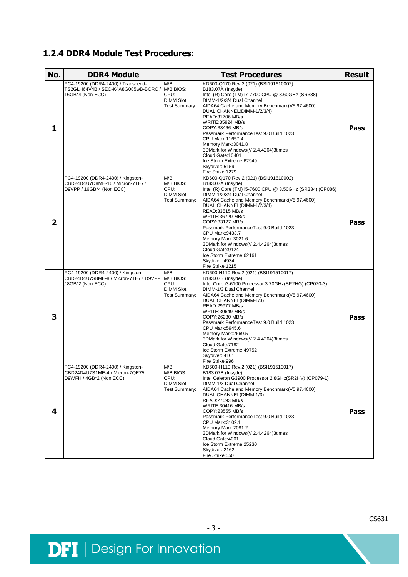#### **1.2.4 DDR4 Module Test Procedures:**

| No.            | <b>DDR4 Module</b>                                                                                       |                                                                                                                                                                                                                                                                                                                                                                                                                                                                                                                                                                                    | <b>Result</b>                                                                                                                                                                                                                                                                                                                                                                                                                                                                                                    |      |
|----------------|----------------------------------------------------------------------------------------------------------|------------------------------------------------------------------------------------------------------------------------------------------------------------------------------------------------------------------------------------------------------------------------------------------------------------------------------------------------------------------------------------------------------------------------------------------------------------------------------------------------------------------------------------------------------------------------------------|------------------------------------------------------------------------------------------------------------------------------------------------------------------------------------------------------------------------------------------------------------------------------------------------------------------------------------------------------------------------------------------------------------------------------------------------------------------------------------------------------------------|------|
| 1              | PC4-19200 (DDR4-2400) / Transcend-<br>TS2GLH64V4B / SEC-K4A8G085wB-BCRC /<br>16GB*4 (Non ECC)            | KD600-Q170 Rev.2 (021) (BSI191610002)<br>$M/B$ :<br>M/B BIOS:<br>B183.07A (Insyde)<br>CPU:<br>Intel (R) Core (TM) i7-7700 CPU @ 3.60GHz (SR338)<br>DIMM-1/2/3/4 Dual Channel<br><b>DIMM Slot:</b><br>AIDA64 Cache and Memory Benchmark(V5.97.4600)<br>Test Summary:<br>DUAL CHANNEL(DIMM-1/2/3/4)<br>READ:31706 MB/s<br>WRITE: 35924 MB/s<br>COPY:33466 MB/s<br>Passmark PerformanceTest 9.0 Build 1023<br>CPU Mark: 11657.4<br>Memory Mark:3041.8<br>3DMark for Windows(V 2.4.4264)3times<br>Cloud Gate: 10401<br>Ice Storm Extreme: 62949<br>Skydiver: 5159<br>Fire Strike: 1279 |                                                                                                                                                                                                                                                                                                                                                                                                                                                                                                                  | Pass |
| $\overline{2}$ | PC4-19200 (DDR4-2400) / Kingston-<br>CBD24D4U7D8ME-16 / Micron-7TE77<br>D9VPP / 16GB*4 (Non ECC)         | $M/B$ :<br>M/B BIOS:<br>CPU:<br><b>DIMM Slot:</b><br>Test Summary:                                                                                                                                                                                                                                                                                                                                                                                                                                                                                                                 | KD600-Q170 Rev.2 (021) (BSI191610002)<br>B183.07A (Insyde)<br>Intel (R) Core (TM) i5-7600 CPU @ 3.50GHz (SR334) (CP086)<br>DIMM-1/2/3/4 Dual Channel<br>AIDA64 Cache and Memory Benchmark(V5.97.4600)<br>DUAL CHANNEL(DIMM-1/2/3/4)<br>READ:33515 MB/s<br>WRITE:36720 MB/s<br>COPY:33127 MB/s<br>Passmark PerformanceTest 9.0 Build 1023<br>CPU Mark:9433.7<br>Memory Mark:3021.6<br>3DMark for Windows(V 2.4.4264)3times<br>Cloud Gate: 9124<br>Ice Storm Extreme: 62161<br>Skydiver: 4934<br>Fire Strike: 1215 | Pass |
| 3              | PC4-19200 (DDR4-2400) / Kingston-<br>CBD24D4U7S8ME-8 / Micron-7TE77 D9VPP M/B BIOS:<br>/ 8GB*2 (Non ECC) | $M/B$ :<br>CPU:<br><b>DIMM Slot:</b><br>Test Summary:                                                                                                                                                                                                                                                                                                                                                                                                                                                                                                                              | KD600-H110 Rev.2 (021) (BSI191510017)<br>B183.07B (Insyde)<br>Intel Core i3-6100 Processor 3.70GHz(SR2HG) (CP070-3)<br>DIMM-1/3 Dual Channel<br>AIDA64 Cache and Memory Benchmark(V5.97.4600)<br>DUAL CHANNEL(DIMM-1/3)<br>READ:29977 MB/s<br>WRITE: 30649 MB/s<br>COPY:26230 MB/s<br>Passmark PerformanceTest 9.0 Build 1023<br>CPU Mark:5945.6<br>Memory Mark:2669.5<br>3DMark for Windows(V 2.4.4264)3times<br>Cloud Gate: 7182<br>Ice Storm Extreme: 49752<br>Skydiver: 4101<br>Fire Strike:996              | Pass |
| 4              | PC4-19200 (DDR4-2400) / Kingston-<br>CBD24D4U7S1ME-4 / Micron-7QE75<br>D9WFH / 4GB*2 (Non ECC)           | $M/B$ :<br>M/B BIOS:<br>CPU:<br><b>DIMM Slot:</b><br>Test Summary:                                                                                                                                                                                                                                                                                                                                                                                                                                                                                                                 | KD600-H110 Rev.2 (021) (BSI191510017)<br>B183.07B (Insyde)<br>Intel Celeron G3900 Processor 2.8GHz(SR2HV) (CP079-1)<br>DIMM-1/3 Dual Channel<br>AIDA64 Cache and Memory Benchmark(V5.97.4600)<br>DUAL CHANNEL(DIMM-1/3)<br>READ:27693 MB/s<br>WRITE:30416 MB/s<br>COPY:23555 MB/s<br>Passmark Performance Test 9.0 Build 1023<br>CPU Mark:3102.1<br>Memory Mark:2081.2<br>3DMark for Windows(V 2.4.4264)3times<br>Cloud Gate: 4001<br>Ice Storm Extreme: 25230<br>Skydiver: 2162<br>Fire Strike:550              | Pass |

- 3 -